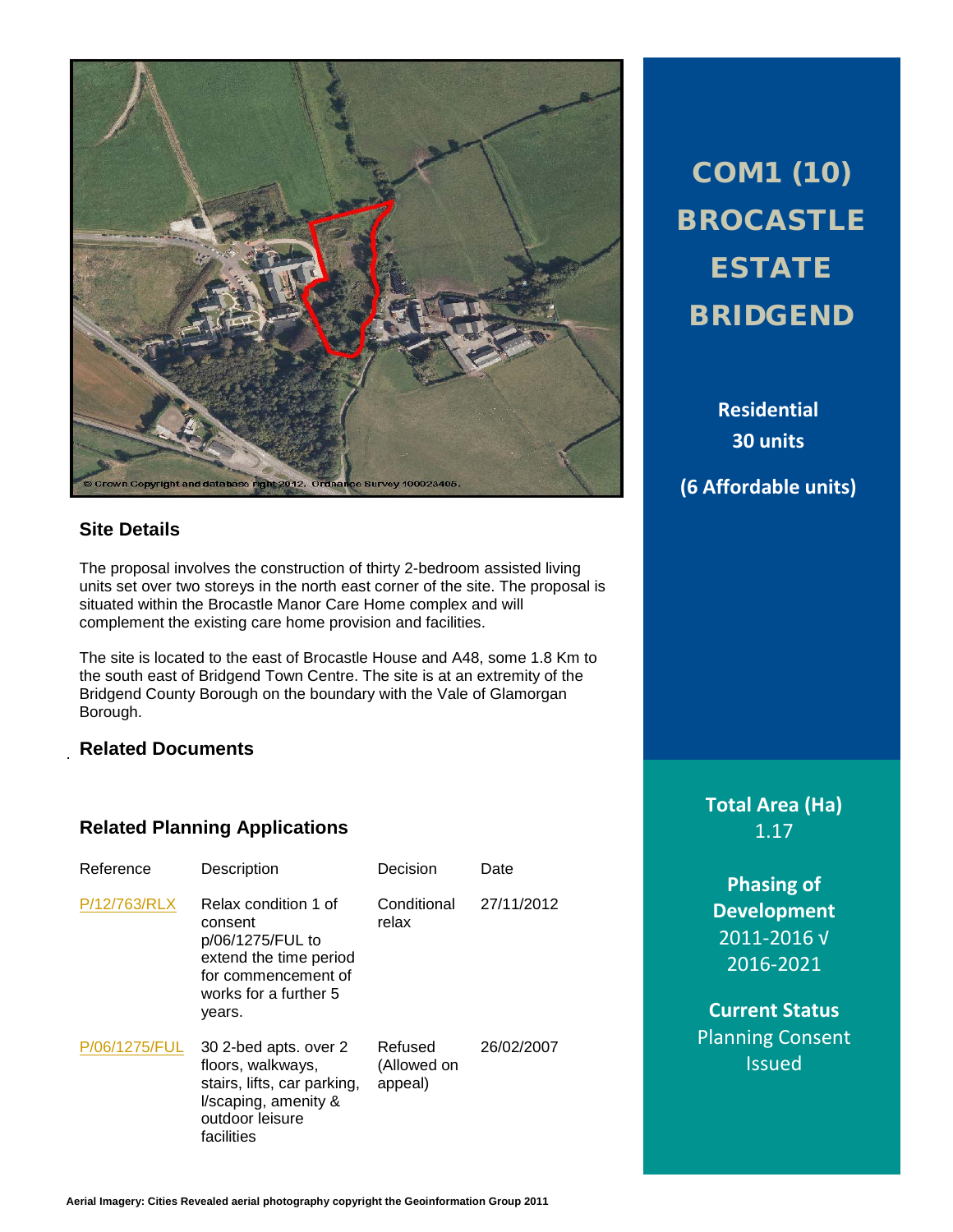

# **Site Details**

The proposal involves the construction of thirty 2-bedroom assisted living units set over two storeys in the north east corner of the site. The proposal is situated within the Brocastle Manor Care Home complex and will complement the existing care home provision and facilities.

The site is located to the east of Brocastle House and A48, some 1.8 Km to the south east of Bridgend Town Centre. The site is at an extremity of the Bridgend County Borough on the boundary with the Vale of Glamorgan Borough.

### **Related Documents**

.

# **Related Planning Applications**

| Reference     | Description                                                                                                                             | Decision                          | Date       |
|---------------|-----------------------------------------------------------------------------------------------------------------------------------------|-----------------------------------|------------|
| P/12/763/RLX  | Relax condition 1 of<br>consent<br>p/06/1275/FUL to<br>extend the time period<br>for commencement of<br>works for a further 5<br>years. | Conditional<br>relax              | 27/11/2012 |
| P/06/1275/FUL | 30 2-bed apts. over 2<br>floors, walkways,<br>stairs, lifts, car parking,<br>I/scaping, amenity &<br>outdoor leisure<br>facilities      | Refused<br>(Allowed on<br>appeal) | 26/02/2007 |

COM1 (10) BROCASTLE ESTATE BRIDGEND

> **Residential 30 units**

**(6 Affordable units)**

**Total Area (Ha)** 1.17

**Phasing of Development** 2011-2016 √ 2016-2021

**Current Status** Planning Consent Issued